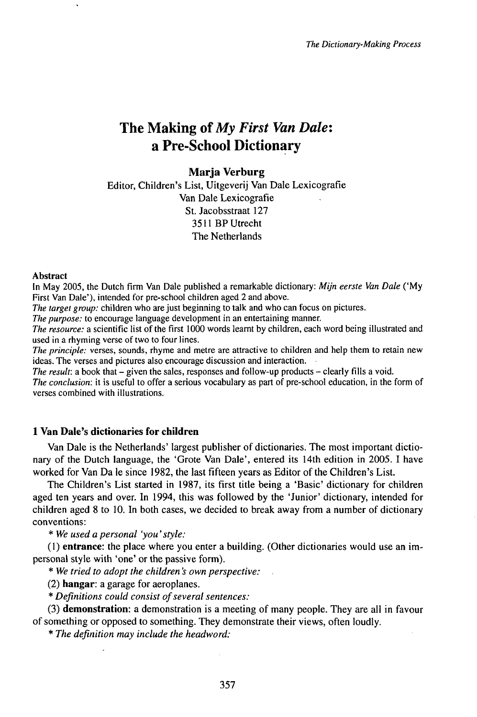# The Making ofMy *First Van Dale:* a Pre-School Dictionary

## **Marja Verburg**

Editor, Children's List, Uitgeverij Van Dale Lexicografie Van Dale Lexicografie St. Jacobsstraat 127 3511 BPUtrecht The Netherlands

#### Abstract

In May 2005, the Dutch firm Van Dale published a remarkable dictionary: *Mijn eerste Van Dale* ('My First Van Dale'), intended for pre-school children aged 2 and above.

*The target group:* children who are just beginning to talk and who can focus on pictures.

*The purpose:* to encourage language development in an entertaining manner.

*The resource:* a scientific list of the first 1000 words learnt by children, each word being illustrated and used in a rhyming verse of two to four lines.

*The principle:* verses, sounds, rhyme and metre are attractive to children and help them to retain new ideas. The verses and pictures also encourage discussion and interaction.

*The result:* a book that – given the sales, responses and follow-up products – clearly fills a void.

*The conclusion:* it is useful to offer a serious vocabulary as part of pre-school education, in the form of verses combined with illustrations.

## **1 Van Dale's dictionaries for children**

Van Dale is the Netherlands' largest publisher of dictionaries. The most important dictionary of the Dutch language, the 'Grote Van Dale', entered its 14th edition in 2005. I have worked for Van Da le since 1982, the last fifteen years as Editor of the Children's List.

The Children's List started in 1987, its first title being a 'Basic' dictionary for children aged ten years and over. In 1994, this was followed by the 'Junior' dictionary, intended for children aged 8 to 10. In both cases, we decided to break away from a number of dictionary conventions:

\* *We usedapersonal 'you'style:*

(1) **entrance:** the place where you enter a building. (Other dictionaries would use an impersonal style with 'one' or the passive form).

\* *We tried to adopt the children 's own perspective:*

(2) **hangar:** a garage for aeroplanes.

\* *Definitions could consist ofseveral sentences:*

(3) **demonstration:** a demonstration is a meeting of many people. They are all in favour of something or opposed to something. They demonstrate their views, often loudly.

\* *The definition may include the headword:*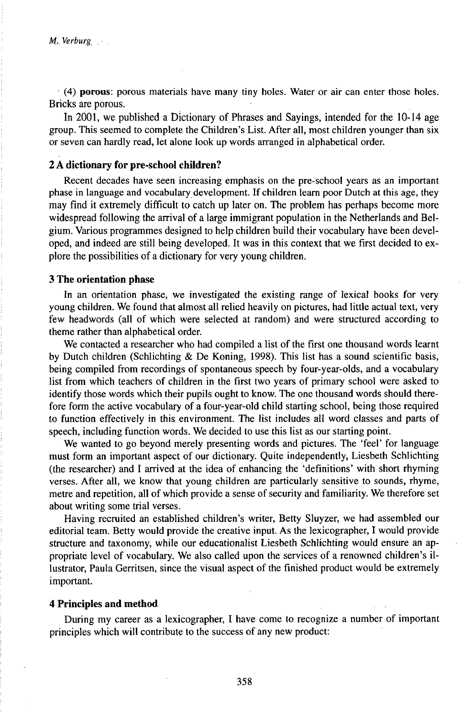*•* (4) **porous:** porous materials have many tiny holes. Water or air can enter those holes. Bricks are porous.

In 2001, we published a Dictionary of Phrases and Sayings, intended for the 10-14 age group. This seemed to complete the Children's List. After all, most children younger than six or seven can hardly read, let alone look up words arranged in alphabetical order.

## **2 A dictionary for pre-school children?**

Recent decades have seen increasing emphasis on the pre-school years as an important phase in language and vocabulary development. If children learn poor Dutch at this age, they may find it extremely difficult to catch up later on. The problem has perhaps become more widespread following the arrival of a large immigrant population in the Netherlands and Belgium. Various programmes designed to help children build their vocabulary have been developed, and indeed are still being developed. It was in this context that we first decided to explore the possibilities of a dictionary for very young children.

#### **3 The orientation phase**

In an orientation phase, we investigated the existing range of lexical books for very young children. We found that almost all relied heavily on pictures, had little actual text, very few headwords (all of which were selected at random) and were structured according to theme rather than alphabetical order.

We contacted a researcher who had compiled a list of the first one thousand words learnt by Dutch children (Schlichting & De Koning, 1998). This list has a sound scientific basis, being compiled from recordings of spontaneous speech by four-year-olds, and a vocabulary list from which teachers of children in the first two years of primary school were asked to identify those words which their pupils ought to know. The one thousand words should therefore form the active vocabulary of a four-year-old child starting school, being those required to function effectively in this environment. The list includes all word classes and parts of speech, including function words. We decided to use this list as our starting point.

We wanted to go beyond merely presenting words and pictures. The 'feel' for language must form an important aspect of our dictionary. Quite independently, Liesbeth Schlichting (the researcher) and I arrived at the idea of enhancing the 'definitions' with short rhyming verses. After all, we know that young children are particularly sensitive to sounds, rhyme, metre and repetition, all of which provide a sense of security and familiarity. We therefore set about writing some trial verses.

Having recruited an established children's writer, Betty Sluyzer, we had assembled our editorial team. Betty would provide the creative input. As the lexicographer, I would provide structure and taxonomy, while our educationalist Liesbeth Schlichting would ensure an appropriate level of vocabulary. We also called upon the services of a renowned children's illustrator, Paula Gerritsen, since the visual aspect of the finished product would be extremely important.

#### **4 Principles and method**

During my career as a lexicographer, I have come to recognize a number of important principles which will contribute to the success of any new product: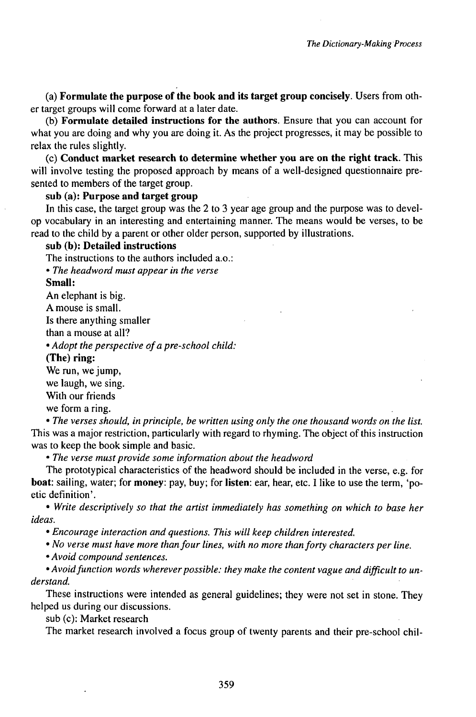(a) **Formulate the purpose of the book and its target group concisely.** Users from other target groups will come forward at a later date.

(b) **Formulate detailed instructions for the authors.** Ensure that you can account for what you are doing and why you are doing it. As the project progresses, it may be possible to relax the rules slightly.

(c) **Conduct market research to determine whether you are on the right track.** This will involve testing the proposed approach by means of a well-designed questionnaire presented to members of the target group.

## **sub (a): Purpose and target group**

In this case, the target group was the 2 to 3 year age group and the purpose was to develop vocabulary in an interesting and entertaining manner. The means would be verses, to be read to the child by a parent or other older person, supported by illustrations.

## **sub (b): Detailed instructions**

The instructions to the authors included a.o.:

• *The headword must appear in the verse*

**Small:**

An elephant is big.

A mouse is small.

Is there anything smaller

than a mouse at all?

• *Adopt the perspective ofa pre-school child:*

**(The) ring:**

We run, we jump,

we laugh, we sing.

With our friends

we form a ring.

• *The verses should, in principle, be written using only the one thousand words on the list.* This was a major restriction, particularly with regard to rhyming. The object of this instruction was to keep the book simple and basic.

• *The verse must provide some information about the headword*

The prototypical characteristics of the headword should be included in the verse, e.g. for **boat:** sailing, water; for **money:** pay, buy; for **listen:** ear, hear, etc. I like to use the term, 'poetic definition'.

• *Write descriptively so that the artist immediately has something on which to base her ideas.*

• *Encourage interaction and questions. This will keep children interested.*

• *No verse must have more thanfour lines, with no more thanforty characters per line.*

• *Avoid compound sentences.*

 $\bullet$  *Avoid* function words wherever possible: they make the content vague and difficult to un*derstand.*

These instructions were intended as general guidelines; they were not set in stone. They helped us during our discussions,

sub (c): Market research

The market research involved a focus group of twenty parents and their pre-school chil-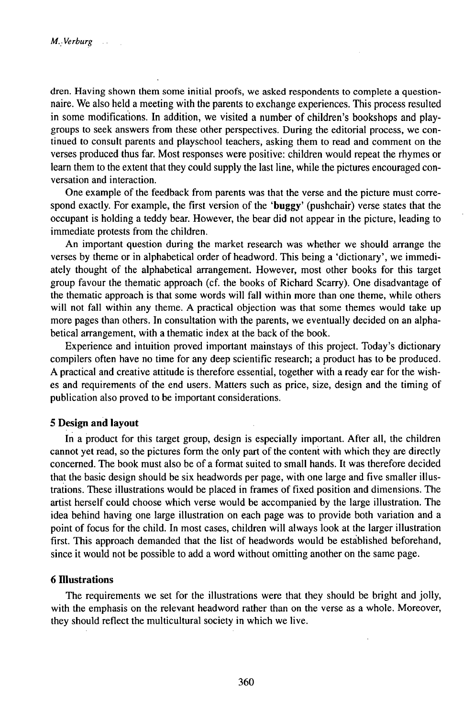dren. Having shown them some initial proofs, we asked respondents to complete a questionnaire. We also held a meeting with the parents to exchange experiences. This process resulted in some modifications. In addition, we visited a number of children's bookshops and playgroups to seek answers from these other perspectives. During the editorial process, we continued to consult parents and playschool teachers, asking them to read and comment on the verses produced thus far. Most responses were positive: children would repeat the rhymes or learn them to the extent that they could supply the last line, while the pictures encouraged conversation and interaction.

One example of the feedback from parents was that the verse and the picture must correspond exactly. For example, the first version of the **'buggy'** (pushchair) verse states that the occupant is holding a teddy bear. However, the bear did not appear in the picture, leading to immediate protests from the children.

An important question during the market research was whether we should arrange the verses by theme or in alphabetical order of headword. This being a 'dictionary', we immediately thought of the alphabetical arrangement. However, most other books for this target group favour the thematic approach (cf. the books of Richard Scarry). One disadvantage of the thematic approach is that some words will fall within more than one theme, while others will not fall within any theme. A practical objection was that some themes would take up more pages than others. In consultation with the parents, we eventually decided on an alphabetical arrangement, with a thematic index at the back of the book.

Experience and intuition proved important mainstays of this project. Today's dictionary compilers often have no time for any deep scientific research; a product has to be produced. A practical and creative attitude is therefore essential, together with a ready ear for the wishes and requirements of the end users. Matters such as price, size, design and the timing of publication also proved to be important considerations.

#### **5 Design and layout**

In a product for this target group, design is especially important. After all, the children cannot yet read, so the pictures form the only part of the content with which they are directly concerned. The book must also be of a format suited to small hands. It was therefore decided that the basic design should be six headwords per page, with one large and five smaller illustrations. These illustrations would be placed in frames of fixed position and dimensions. The artist herself could choose which verse would be accompanied by the large illustration. The idea behind having one large illustration on each page was to provide both variation and a point of focus for the child. In most cases, children will always look at the larger illustration first. This approach demanded that the list of headwords would be established beforehand, since it would not be possible to add a word without omitting another on the same page.

#### **6 niustrations**

The requirements we set for the illustrations were that they should be bright and jolly, with the emphasis on the relevant headword rather than on the verse as a whole. Moreover, they should reflect the multicultural society in which we live.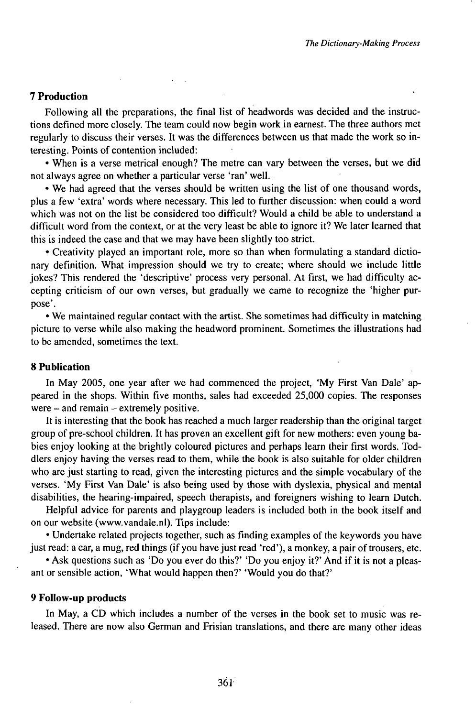#### **7 Production**

Following all the preparations, the final list of headwords was decided and the instructions defined more closely. The team could now begin work in earnest. The three authors met regularly to discuss their verses. It was the differences between us that made the work so interesting. Points of contention included:

• When is a verse metrical enough? The metre can vary between the verses, but we did not always agree on whether a particular verse 'ran' well.

• We had agreed that the verses should be written using the list of one thousand words, plus a few 'extra' words where necessary. This led to further discussion: when could a word which was not on the list be considered too difficult? Would a child be able to understand a difficult word from the context, or at the very least be able to ignore it? We later learned that this is indeed the case and that we may have been slightly too strict.

• Creativity played an important role, more so than when formulating a standard dictionary definition. What impression should we try to create; where should we include little jokes? This rendered the 'descriptive' process very personal. At first, we had difficulty accepting criticism of our own verses, but gradually we came to recognize the 'higher purpose'.

• We maintained regular contact with the artist. She sometimes had difficulty in matching picture to verse while also making the headword prominent. Sometimes the illustrations had to be amended, sometimes the text.

#### **8 Publication**

In May 2005, one year after we had commenced the project, 'My First Van Dale' appeared in the shops. Within five months, sales had exceeded 25,000 copies. The responses were  $-$  and remain  $-$  extremely positive.

It is interesting that the book has reached a much larger readership than the original target group of pre-school children. It has proven an excellent gift for new mothers: even young babies enjoy looking at the brightly coloured pictures and perhaps learn their first words. Toddlers enjoy having the verses read to them, while the book is also suitable for older children who are just starting to read, given the interesting pictures and the simple vocabulary of the verses. 'My First Van Dale' is also being used by those with dyslexia, physical and mental disabilities, the hearing-impaired, speech therapists, and foreigners wishing to learn Dutch.

Helpful advice for parents and playgroup leaders is included both in the book itself and on our website (www.vandale.nl). Tips include:

• Undertake related projects together, such as finding examples of the keywords you have just read: a car, a mug, red things (if you have just read 'red'), a monkey, a pair of trousers, etc.

• Ask questions such as 'Do you ever do this?' 'Do you enjoy it?' And if it is not a pleasant or sensible action, 'What would happen then?' 'Would you do that?'

#### **9 FolIow-up products**

In May, a CD which includes a number of the verses in the book set to music was released. There are now also German and Frisian translations, and there are many other ideas